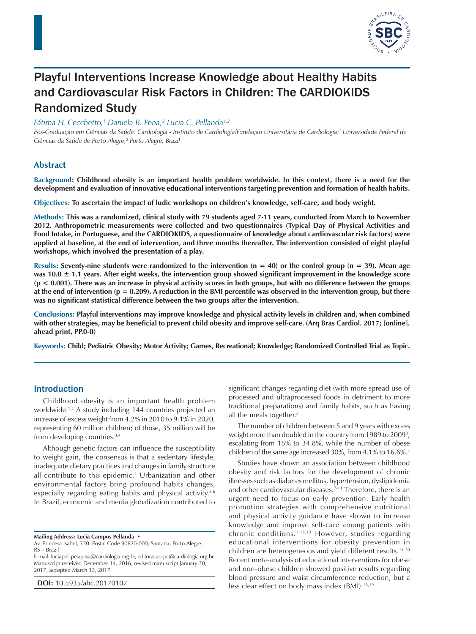

# Playful Interventions Increase Knowledge about Healthy Habits and Cardiovascular Risk Factors in Children: The CARDIOKIDS Randomized Study

*Fátima H. Cecchetto,1 Daniela B. Pena,2 Lucia C. Pellanda1,2*

*Pós-Graduação em Ciências da Saúde: Cardiologia - Instituto de Cardiologia/Fundação Universitária de Cardiologia;1 Universidade Federal de Ciências da Saúde de Porto Alegre,2 Porto Alegre, Brazil*

# **Abstract**

**Background: Childhood obesity is an important health problem worldwide. In this context, there is a need for the development and evaluation of innovative educational interventions targeting prevention and formation of health habits.**

**Objectives: To ascertain the impact of ludic workshops on children's knowledge, self-care, and body weight.**

**Methods: This was a randomized, clinical study with 79 students aged 7-11 years, conducted from March to November 2012. Anthropometric measurements were collected and two questionnaires (Typical Day of Physical Activities and Food Intake, in Portuguese, and the CARDIOKIDS, a questionnaire of knowledge about cardiovascular risk factors) were applied at baseline, at the end of intervention, and three months thereafter. The intervention consisted of eight playful workshops, which involved the presentation of a play.**

**Results: Seventy-nine students were randomized to the intervention (n = 40) or the control group (n = 39). Mean age was 10.0 ± 1.1 years. After eight weeks, the intervention group showed significant improvement in the knowledge score (p < 0.001). There was an increase in physical activity scores in both groups, but with no difference between the groups at the end of intervention (p = 0.209). A reduction in the BMI percentile was observed in the intervention group, but there was no significant statistical difference between the two groups after the intervention.**

**Conclusions: Playful interventions may improve knowledge and physical activity levels in children and, when combined with other strategies, may be beneficial to prevent child obesity and improve self-care. (Arq Bras Cardiol. 2017; [online]. ahead print, PP.0-0)**

**Keywords: Child; Pediatric Obesity; Motor Activity; Games, Recreational; Knowledge; Randomized Controlled Trial as Topic.**

## Introduction

Childhood obesity is an important health problem worldwide.1,2 A study including 144 countries projected an increase of excess weight from 4.2% in 2010 to 9.1% in 2020, representing 60 million children; of those, 35 million will be from developing countries.3,4

Although genetic factors can influence the susceptibility to weight gain, the consensus is that a sedentary lifestyle, inadequate dietary practices and changes in family structure all contribute to this epidemic.<sup>2</sup> Urbanization and other environmental factors bring profound habits changes, especially regarding eating habits and physical activity.<sup>5,6</sup> In Brazil, economic and media globalization contributed to

**Mailing Address: Lucia Campos Pellanda •**

Av. Princesa Isabel, 370. Postal Code 90620-000, Santana, Porto Alegre, RS – Brazil

E-mail: luciapell.pesquisa@cardiologia.org.br, editoracao-pc@cardiologia.org.br Manuscript received December 14, 2016, revised manuscript January 30, 2017, accepted March 13, 2017

**DOI:** 10.5935/abc.20170107

significant changes regarding diet (with more spread use of processed and ultraprocessed foods in detriment to more traditional preparations) and family habits, such as having all the meals together.<sup>3</sup>

The number of children between 5 and 9 years with excess weight more than doubled in the country from 1989 to 2009<sup>3</sup>, escalating from 15% to 34.8%, while the number of obese children of the same age increased 30%, from 4.1% to 16.6%.<sup>4</sup>

Studies have shown an association between childhood obesity and risk factors for the development of chronic illnesses such as diabetes mellitus, hypertension, dyslipidemia and other cardiovascular diseases.<sup>7-11</sup> Therefore, there is an urgent need to focus on early prevention. Early health promotion strategies with comprehensive nutritional and physical activity guidance have shown to increase knowledge and improve self-care among patients with chronic conditions.1,12,13 However, studies regarding educational interventions for obesity prevention in children are heterogeneous and yield different results.14-20 Recent meta-analysis of educational interventions for obese and non-obese children showed positive results regarding blood pressure and waist circumference reduction, but a less clear effect on body mass index (BMI).<sup>18,19</sup>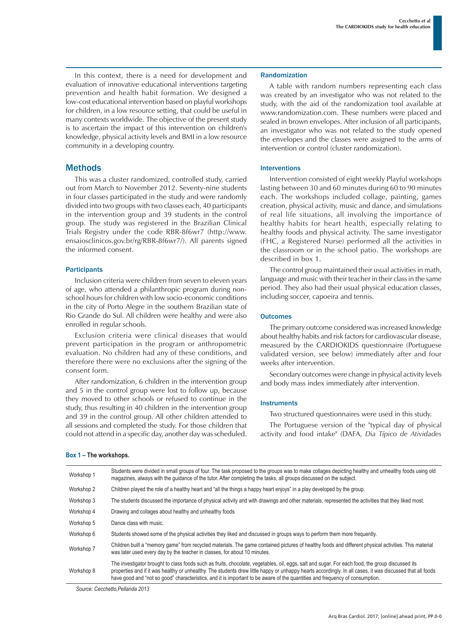In this context, there is a need for development and evaluation of innovative educational interventions targeting prevention and health habit formation. We designed a low-cost educational intervention based on playful workshops for children, in a low resource setting, that could be useful in many contexts worldwide. The objective of the present study is to ascertain the impact of this intervention on children's knowledge, physical activity levels and BMI in a low resource community in a developing country.

## **Methods**

This was a cluster randomized, controlled study, carried out from March to November 2012. Seventy-nine students in four classes participated in the study and were randomly divided into two groups with two classes each, 40 participants in the intervention group and 39 students in the control group. The study was registered in the Brazilian Clinical Trials Registry under the code RBR-8f6wr7 (http://www. ensaiosclinicos.gov.br/rg/RBR-8f6wr7/). All parents signed the informed consent.

#### **Participants**

Inclusion criteria were children from seven to eleven years of age, who attended a philanthropic program during nonschool hours for children with low socio-economic conditions in the city of Porto Alegre in the southern Brazilian state of Rio Grande do Sul. All children were healthy and were also enrolled in regular schools.

Exclusion criteria were clinical diseases that would prevent participation in the program or anthropometric evaluation. No children had any of these conditions, and therefore there were no exclusions after the signing of the consent form.

After randomization, 6 children in the intervention group and 5 in the control group were lost to follow up, because they moved to other schools or refused to continue in the study, thus resulting in 40 children in the intervention group and 39 in the control group. All other children attended to all sessions and completed the study. For those children that could not attend in a specific day, another day was scheduled.

#### Randomization

A table with random numbers representing each class was created by an investigator who was not related to the study, with the aid of the randomization tool available at www.randomization.com. These numbers were placed and sealed in brown envelopes. After inclusion of all participants, an investigator who was not related to the study opened the envelopes and the classes were assigned to the arms of intervention or control (cluster randomization).

#### Interventions

Intervention consisted of eight weekly Playful workshops lasting between 30 and 60 minutes during 60 to 90 minutes each. The workshops included collage, painting, games creation, physical activity, music and dance, and simulations of real life situations, all involving the importance of healthy habits for heart health, especially relating to healthy foods and physical activity. The same investigator (FHC, a Registered Nurse) performed all the activities in the classroom or in the school patio. The workshops are described in box 1.

The control group maintained their usual activities in math, language and music with their teacher in their class in the same period. They also had their usual physical education classes, including soccer, capoeira and tennis.

#### **Outcomes**

The primary outcome considered was increased knowledge about healthy habits and risk factors for cardiovascular disease, measured by the CARDIOKIDS questionnaire (Portuguese validated version, see below) immediately after and four weeks after intervention.

Secondary outcomes were change in physical activity levels and body mass index immediately after intervention.

#### **Instruments**

Two structured questionnaires were used in this study.

The Portuguese version of the "typical day of physical activity and food intake" (DAFA, *Dia Típico de Atividades* 

| Workshop 1 | Students were divided in small groups of four. The task proposed to the groups was to make collages depicting healthy and unhealthy foods using old<br>magazines, always with the quidance of the tutor. After completing the tasks, all groups discussed on the subject.                                                                                                                                                                      |
|------------|------------------------------------------------------------------------------------------------------------------------------------------------------------------------------------------------------------------------------------------------------------------------------------------------------------------------------------------------------------------------------------------------------------------------------------------------|
| Workshop 2 | Children played the role of a healthy heart and "all the things a happy heart enjoys" in a play developed by the group.                                                                                                                                                                                                                                                                                                                        |
| Workshop 3 | The students discussed the importance of physical activity and with drawings and other materials, represented the activities that they liked most.                                                                                                                                                                                                                                                                                             |
| Workshop 4 | Drawing and collages about healthy and unhealthy foods                                                                                                                                                                                                                                                                                                                                                                                         |
| Workshop 5 | Dance class with music.                                                                                                                                                                                                                                                                                                                                                                                                                        |
| Workshop 6 | Students showed some of the physical activities they liked and discussed in groups ways to perform them more frequently.                                                                                                                                                                                                                                                                                                                       |
| Workshop 7 | Children built a "memory game" from recycled materials. The game contained pictures of healthy foods and different physical activities. This material<br>was later used every day by the teacher in classes, for about 10 minutes.                                                                                                                                                                                                             |
| Workshop 8 | The investigator brought to class foods such as fruits, chocolate, vegetables, oil, eggs, salt and sugar. For each food, the group discussed its<br>properties and if it was healthy or unhealthy. The students drew little happy or unhappy hearts accordingly. In all cases, it was discussed that all foods<br>have good and "not so good" characteristics, and it is important to be aware of the quantities and frequency of consumption. |

*Source: Cecchetto,Pellanda 2013*

# **Box 1 – The workshops.**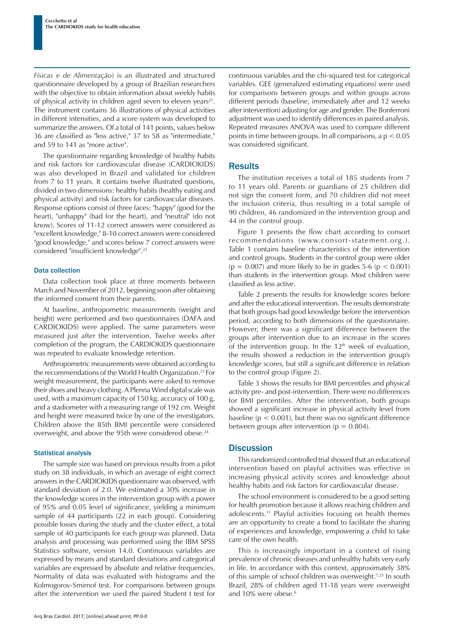*Físicas e de Alimentação*) is an illustrated and structured questionnaire developed by a group of Brazilian researchers with the objective to obtain information about weekly habits of physical activity in children aged seven to eleven years<sup>21</sup>. The instrument contains 36 illustrations of physical activities in different intensities, and a score system was developed to summarize the answers. Of a total of 141 points, values below 36 are classified as "less active," 37 to 58 as "intermediate," and 59 to 141 as "more active".

The questionnaire regarding knowledge of healthy habits and risk factors for cardiovascular disease (CARDIOKIDS) was also developed in Brazil and validated for children from 7 to 11 years. It contains twelve illustrated questions, divided in two dimensions: healthy habits (healthy eating and physical activity) and risk factors for cardiovascular diseases. Response options consist of three faces: "happy" (good for the heart), "unhappy" (bad for the heart), and "neutral" (do not know). Scores of 11-12 correct answers were considered as "excellent knowledge," 8-10 correct answers were considered "good knowledge," and scores below 7 correct answers were considered "insufficient knowledge".22

#### Data collection

Data collection took place at three moments between March and November of 2012, beginning soon after obtaining the informed consent from their parents.

At baseline, anthropometric measurements (weight and height) were performed and two questionnaires (DAFA and CARDIOKIDS) were applied. The same parameters were measured just after the intervention. Twelve weeks after completion of the program, the CARDIOKIDS questionnaire was repeated to evaluate knowledge retention.

Anthropometric measurements were obtained according to the recommendations of the World Health Organization.23 For weight measurement, the participants were asked to remove their shoes and heavy clothing. A Plenna Wind digital scale was used, with a maximum capacity of 150 kg, accuracy of 100 g, and a stadiometer with a measuring range of 192 cm. Weight and height were measured twice by one of the investigators. Children above the 85th BMI percentile were considered overweight, and above the 95th were considered obese.<sup>24</sup>

#### Statistical analysis

The sample size was based on previous results from a pilot study on 38 individuals, in which an average of eight correct answers in the CARDIOKIDS questionnaire was observed, with standard deviation of 2.0. We estimated a 30% increase in the knowledge scores in the intervention group with a power of 95% and 0.05 level of significance, yielding a minimum sample of 44 participants (22 in each group). Considering possible losses during the study and the cluster effect, a total sample of 40 participants for each group was planned. Data analysis and processing was performed using the IBM SPSS Statistics software, version 14.0. Continuous variables are expressed by means and standard deviations and categorical variables are expressed by absolute and relative frequencies. Normality of data was evaluated with histograms and the Kolmogorov-Smirnof test. For comparisons between groups after the intervention we used the paired Student t test for continuous variables and the chi-squared test for categorical variables. GEE (generalized estimating equations) were used for comparisons between groups and within groups across different periods (baseline, immediately after and 12 weeks after intervention) adjusting for age and gender. The Bonferroni adjustment was used to identify differences in paired analysis. Repeated measures ANOVA was used to compare different points in time between groups. In all comparisons, a p < 0.05 was considered significant.

#### **Results**

The institution receives a total of 185 students from 7 to 11 years old. Parents or guardians of 25 children did not sign the consent form, and 70 children did not meet the inclusion criteria, thus resulting in a total sample of 90 children, 46 randomized in the intervention group and 44 in the control group.

Figure 1 presents the flow chart according to consort recommendations (www.consort-statement.org .). Table 1 contains baseline characteristics of the intervention and control groups. Students in the control group were older  $(p = 0.007)$  and more likely to be in grades 5-6  $(p < 0.001)$ than students in the intervention group. Most children were classified as less active.

Table 2 presents the results for knowledge scores before and after the educational intervention. The results demonstrate that both groups had good knowledge before the intervention period, according to both dimensions of the questionnaire. However, there was a significant difference between the groups after intervention due to an increase in the scores of the intervention group. In the  $12<sup>th</sup>$  week of evaluation, the results showed a reduction in the intervention group's knowledge scores, but still a significant difference in relation to the control group (Figure 2).

Table 3 shows the results for BMI percentiles and physical activity pre- and post-intervention. There were no differences for BMI percentiles. After the intervention, both groups showed a significant increase in physical activity level from baseline ( $p < 0.001$ ), but there was no significant difference between groups after intervention ( $p = 0.804$ ).

### **Discussion**

This randomized controlled trial showed that an educational intervention based on playful activities was effective in increasing physical activity scores and knowledge about healthy habits and risk factors for cardiovascular disease.

The school environment is considered to be a good setting for health promotion because it allows reaching children and adolescents.11 Playful activities focusing on health themes are an opportunity to create a bond to facilitate the sharing of experiences and knowledge, empowering a child to take care of the own health.

This is increasingly important in a context of rising prevalence of chronic diseases and unhealthy habits very early in life. In accordance with this context, approximately 38% of this sample of school children was overweight.7,25 In south Brazil, 28% of children aged 11-18 years were overweight and 10% were obese.<sup>6</sup>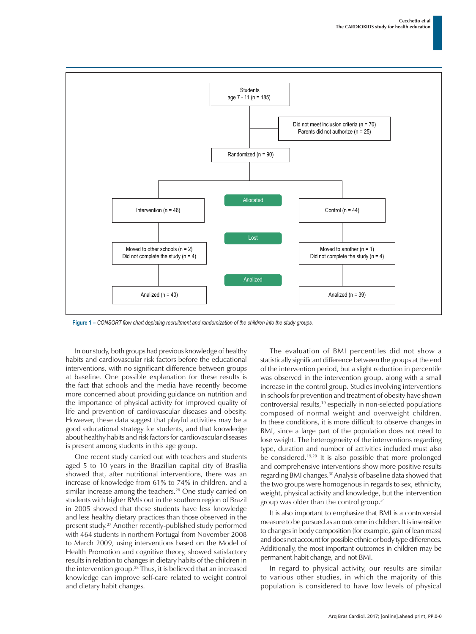

**Figure 1 –** *CONSORT flow chart depicting recruitment and randomization of the children into the study groups.*

In our study, both groups had previous knowledge of healthy habits and cardiovascular risk factors before the educational interventions, with no significant difference between groups at baseline. One possible explanation for these results is the fact that schools and the media have recently become more concerned about providing guidance on nutrition and the importance of physical activity for improved quality of life and prevention of cardiovascular diseases and obesity. However, these data suggest that playful activities may be a good educational strategy for students, and that knowledge about healthy habits and risk factors for cardiovascular diseases is present among students in this age group.

One recent study carried out with teachers and students aged 5 to 10 years in the Brazilian capital city of Brasília showed that, after nutritional interventions, there was an increase of knowledge from 61% to 74% in children, and a similar increase among the teachers.<sup>26</sup> One study carried on students with higher BMIs out in the southern region of Brazil in 2005 showed that these students have less knowledge and less healthy dietary practices than those observed in the present study.27 Another recently-published study performed with 464 students in northern Portugal from November 2008 to March 2009, using interventions based on the Model of Health Promotion and cognitive theory, showed satisfactory results in relation to changes in dietary habits of the children in the intervention group.28 Thus, it is believed that an increased knowledge can improve self-care related to weight control and dietary habit changes.

The evaluation of BMI percentiles did not show a statistically significant difference between the groups at the end of the intervention period, but a slight reduction in percentile was observed in the intervention group, along with a small increase in the control group. Studies involving interventions in schools for prevention and treatment of obesity have shown controversial results,19 especially in non-selected populations composed of normal weight and overweight children. In these conditions, it is more difficult to observe changes in BMI, since a large part of the population does not need to lose weight. The heterogeneity of the interventions regarding type, duration and number of activities included must also be considered.19,29 It is also possible that more prolonged and comprehensive interventions show more positive results regarding BMI changes.30 Analysis of baseline data showed that the two groups were homogenous in regards to sex, ethnicity, weight, physical activity and knowledge, but the intervention group was older than the control group.31

It is also important to emphasize that BMI is a controversial measure to be pursued as an outcome in children. It is insensitive to changes in body composition (for example, gain of lean mass) and does not account for possible ethnic or body type differences. Additionally, the most important outcomes in children may be permanent habit change, and not BMI.

In regard to physical activity, our results are similar to various other studies, in which the majority of this population is considered to have low levels of physical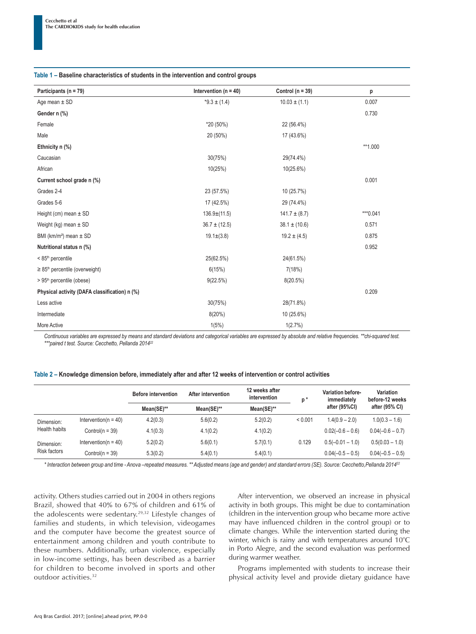#### **Table 1 – Baseline characteristics of students in the intervention and control groups**

| Participants ( $n = 79$ )                       | Intervention ( $n = 40$ ) | Control ( $n = 39$ ) | p                                                                           |
|-------------------------------------------------|---------------------------|----------------------|-----------------------------------------------------------------------------|
| Age mean $\pm$ SD                               | $*9.3 \pm (1.4)$          | $10.03 \pm (1.1)$    | 0.007                                                                       |
| Gender n (%)                                    |                           |                      | 0.730                                                                       |
| Female                                          | *20 (50%)                 | 22 (56.4%)           |                                                                             |
| Male                                            | 20 (50%)                  | 17 (43.6%)           |                                                                             |
| Ethnicity n (%)                                 |                           |                      | **1.000                                                                     |
| Caucasian                                       | 30(75%)                   | 29(74.4%)            |                                                                             |
| African                                         | 10(25%)                   | 10(25.6%)            |                                                                             |
| Current school grade n (%)                      |                           |                      | 0.001                                                                       |
| Grades 2-4                                      | 23 (57.5%)                | 10 (25.7%)           |                                                                             |
| Grades 5-6                                      | 17 (42.5%)                | 29 (74.4%)           |                                                                             |
| Height (cm) mean $\pm$ SD                       | $136.9\pm(11.5)$          | $141.7 \pm (8.7)$    | *** 0.041                                                                   |
| Weight (kg) mean $\pm$ SD                       | $36.7 \pm (12.5)$         | $38.1 \pm (10.6)$    | 0.571                                                                       |
| BMI ( $km/m^2$ ) mean $\pm$ SD                  | $19.1 \pm (3.8)$          | $19.2 \pm (4.5)$     | 0.875                                                                       |
| Nutritional status n (%)                        |                           |                      | 0.952                                                                       |
| < 85 <sup>th</sup> percentile                   | 25(62.5%)                 | 24(61.5%)            |                                                                             |
| $\geq$ 85 <sup>th</sup> percentile (overweight) | 6(15%)                    | 7(18%)               |                                                                             |
| > 95 <sup>th</sup> percentile (obese)           | 9(22.5%)                  | 8(20.5%)             |                                                                             |
| Physical activity (DAFA classification) n (%)   |                           |                      | 0.209                                                                       |
| Less active                                     | 30(75%)                   | 28(71.8%)            |                                                                             |
| Intermediate                                    | 8(20%)                    | 10 (25.6%)           |                                                                             |
| More Active                                     | 1(5%)                     | 1(2.7%)              |                                                                             |
| $\cdots$<br>$\cdots$                            | .                         | $\cdots$             | $\mathbf{r}$ and $\mathbf{r}$ and $\mathbf{r}$ and $\mathbf{r}$<br>$\cdots$ |

*Continuous variables are expressed by means and standard deviations and categorical variables are expressed by absolute and relative frequencies. \*\*chi-squared test. \*\*\*paired t test. Source: Cecchetto, Pellanda 2014<sup>22</sup>*

| Table 2 – Knowledge dimension before, immediately after and after 12 weeks of intervention or control activities |  |  |  |
|------------------------------------------------------------------------------------------------------------------|--|--|--|
|------------------------------------------------------------------------------------------------------------------|--|--|--|

|               |                          | <b>Before intervention</b> | After intervention | 12 weeks after<br>intervention | p*      | Variation before-<br>immediately | Variation<br>before-12 weeks |
|---------------|--------------------------|----------------------------|--------------------|--------------------------------|---------|----------------------------------|------------------------------|
|               |                          | Mean(SE)**                 | Mean(SE)**         | Mean(SE)**                     |         | after (95%CI)                    | after (95% CI)               |
| Dimension:    | Intervention( $n = 40$ ) | 4.2(0.3)                   | 5.6(0.2)           | 5.2(0.2)                       | < 0.001 | $1.4(0.9 - 2.0)$                 | $1.0(0.3 - 1.6)$             |
| Health habits | Control( $n = 39$ )      | 4.1(0.3)                   | 4.1(0.2)           | 4.1(0.2)                       |         | $0.02(-0.6 - 0.6)$               | $0.04(-0.6 - 0.7)$           |
| Dimension:    | Intervention( $n = 40$ ) | 5.2(0.2)                   | 5.6(0.1)           | 5.7(0.1)                       | 0.129   | $0.5(-0.01 - 1.0)$               | $0.5(0.03 - 1.0)$            |
| Risk factors  | Control( $n = 39$ )      | 5.3(0.2)                   | 5.4(0.1)           | 5.4(0.1)                       |         | $0.04(-0.5 - 0.5)$               | $0.04(-0.5 - 0.5)$           |

*\* Interaction between group and time - Anova –repeated measures. \*\* Adjusted means (age and gender) and standard errors (SE). Source: Cecchetto,Pellanda 2014<sup>22</sup>*

activity. Others studies carried out in 2004 in others regions Brazil, showed that 40% to 67% of children and 61% of the adolescents were sedentary.29,32 Lifestyle changes of families and students, in which television, videogames and the computer have become the greatest source of entertainment among children and youth contribute to these numbers. Additionally, urban violence, especially in low-income settings, has been described as a barrier for children to become involved in sports and other outdoor activities.32

After intervention, we observed an increase in physical activity in both groups. This might be due to contamination (children in the intervention group who became more active may have influenced children in the control group) or to climate changes. While the intervention started during the winter, which is rainy and with temperatures around 10°C in Porto Alegre, and the second evaluation was performed during warmer weather.

Programs implemented with students to increase their physical activity level and provide dietary guidance have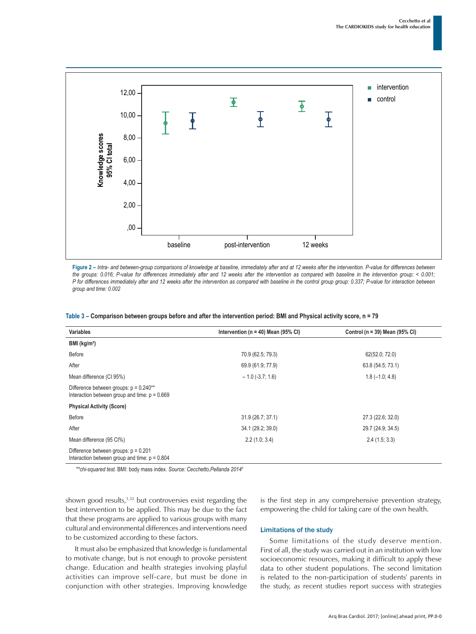

**Figure 2 –** *Intra- and between-group comparisons of knowledge at baseline, immediately after and at 12 weeks after the intervention. P-value for differences between the groups: 0.016; P-value for differences immediately after and 12 weeks after the intervention as compared with baseline in the intervention group: < 0.001; P* for differences immediately after and 12 weeks after the intervention as compared with baseline in the control group group: 0.337; P-value for interaction between *group and time: 0.002*

| <b>Variables</b>                                                                            | Intervention ( $n = 40$ ) Mean (95% CI) | Control ( $n = 39$ ) Mean (95% CI) |
|---------------------------------------------------------------------------------------------|-----------------------------------------|------------------------------------|
| BMl (kg/m <sup>2</sup> )                                                                    |                                         |                                    |
| Before                                                                                      | 70.9 (62.5; 79.3)                       | 62(52.0; 72.0)                     |
| After                                                                                       | 69.9 (61.9; 77.9)                       | 63.8 (54.5; 73.1)                  |
| Mean difference (CI 95%)                                                                    | $-1.0$ (-3.7; 1.6)                      | $1.8(-1.0; 4.8)$                   |
| Difference between groups: $p = 0.240**$<br>Interaction between group and time: $p = 0.669$ |                                         |                                    |
| <b>Physical Activity (Score)</b>                                                            |                                         |                                    |
| Before                                                                                      | 31.9 (26.7; 37.1)                       | 27.3 (22.6; 32.0)                  |
| After                                                                                       | 34.1 (29.2; 39.0)                       | 29.7 (24.9; 34.5)                  |
| Mean difference (95 CI%)                                                                    | 2.2(1.0; 3.4)                           | 2.4(1.5; 3.3)                      |
| Difference between groups: $p = 0.201$<br>Interaction between group and time: $p = 0.804$   |                                         |                                    |

| Table 3 – Comparison between groups before and after the intervention period: BMI and Physical activity score, n = 79 |
|-----------------------------------------------------------------------------------------------------------------------|
|-----------------------------------------------------------------------------------------------------------------------|

*\*\*chi-squared test.* BMI: body mass index. *Source: Cecchetto,Pellanda 2014<sup>2</sup>*

shown good results, $1,32$  but controversies exist regarding the best intervention to be applied. This may be due to the fact that these programs are applied to various groups with many cultural and environmental differences and interventions need to be customized according to these factors.

It must also be emphasized that knowledge is fundamental to motivate change, but is not enough to provoke persistent change. Education and health strategies involving playful activities can improve self-care, but must be done in conjunction with other strategies. Improving knowledge is the first step in any comprehensive prevention strategy, empowering the child for taking care of the own health.

#### Limitations of the study

Some limitations of the study deserve mention. First of all, the study was carried out in an institution with low socioeconomic resources, making it difficult to apply these data to other student populations. The second limitation is related to the non-participation of students' parents in the study, as recent studies report success with strategies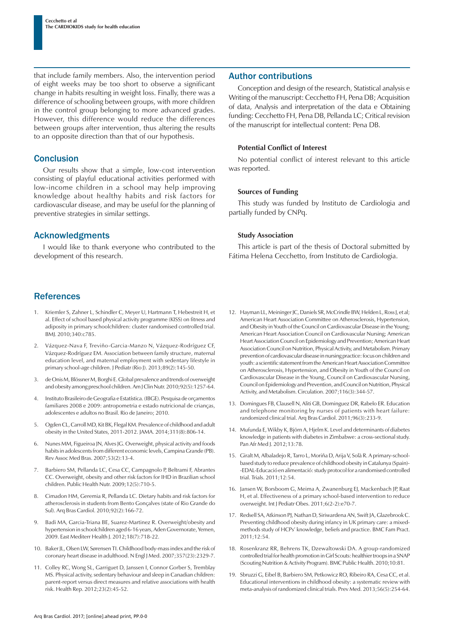that include family members. Also, the intervention period of eight weeks may be too short to observe a significant change in habits resulting in weight loss. Finally, there was a difference of schooling between groups, with more children in the control group belonging to more advanced grades. However, this difference would reduce the differences between groups after intervention, thus altering the results to an opposite direction than that of our hypothesis.

## **Conclusion**

Our results show that a simple, low-cost intervention consisting of playful educational activities performed with low-income children in a school may help improving knowledge about healthy habits and risk factors for cardiovascular disease, and may be useful for the planning of preventive strategies in similar settings.

# Acknowledgments

I would like to thank everyone who contributed to the development of this research.

# **References**

- Kriemler S, Zahner L, Schindler C, Meyer U, Hartmann T, Hebestreit H, et al. Effect of school based physical activity programme (KISS) on fitness and adiposity in primary schoolchildren: cluster randomised controlled trial. BMJ. 2010;340:c785.
- 2. Vázquez-Nava F, Treviño-Garcia-Manzo N, Vázquez-Rodríguez CF, Vázquez-Rodríguez EM. Association between family structure, maternal education level, and maternal employment with sedentary lifestyle in primary school-age children. J Pediatr (Rio J). 2013;89(2):145-50.
- 3. de Onis M, Blössner M, Borghi E. Global prevalence and trends of overweight and obesity among preschool children. Am J Clin Nutr. 2010;92(5):1257-64.
- 4. Instituto Brasileiro de Geografia e Estatística. (IBGE). Pesquisa de orçamentos familiares 2008 e 2009: antropometria e estado nutricional de crianças, adolescentes e adultos no Brasil. Rio de Janeiro; 2010.
- 5. Ogden CL, Carroll MD, Kit BK, Flegal KM. Prevalence of childhood and adult obesity in the United States, 2011-2012. JAMA. 2014;311(8):806-14.
- 6. Nunes MM, Figueiroa JN, Alves JG. Overweight, physical activity and foods habits in adolescents from different economic levels, Campina Grande (PB). Rev Assoc Med Bras. 2007;53(2):13-4.
- 7. Barbiero SM, Pellanda LC, Cesa CC, Campagnolo P, Beltrami F, Abrantes CC. Overweight, obesity and other risk factors for IHD in Brazilian school children. Public Health Nutr. 2009;12(5):710-5.
- 8. Cimadon HM, Geremia R, Pellanda LC. Dietary habits and risk factors for atherosclerosis in students from Bento Gonçalves (state of Rio Grande do Sul). Arq Bras Cardiol. 2010;92(2):166-72.
- 9. Badi MA, Garcia-Triana BE, Suarez-Martinez R. Overweight/obesity and hypertension in schoolchildren aged 6-16 years, Aden Governorate, Yemen, 2009. East Mediterr Health J. 2012;18(7):718-22.
- 10. Baker JL, Olsen LW, Sørensen TI. Childhood body-mass index and the risk of coronary heart disease in adulthood. N Engl J Med. 2007;357(23):2329-7.
- 11. Colley RC, Wong SL, Garriguet D, Janssen I, Connor Gorber S, Tremblay MS. Physical activity, sedentary behaviour and sleep in Canadian children: parent-report versus direct measures and relative associations with health risk. Health Rep. 2012;23(2):45-52.

## Author contributions

Conception and design of the research, Statistical analysis e Writing of the manuscript: Cecchetto FH, Pena DB; Acquisition of data, Analysis and interpretation of the data e Obtaining funding: Cecchetto FH, Pena DB, Pellanda LC; Critical revision of the manuscript for intellectual content: Pena DB.

### **Potential Conflict of Interest**

No potential conflict of interest relevant to this article was reported.

#### **Sources of Funding**

This study was funded by Instituto de Cardiologia and partially funded by CNPq.

### **Study Association**

This article is part of the thesis of Doctoral submitted by Fátima Helena Cecchetto, from Instituto de Cardiologia.

- 12. Hayman LL, Meininger JC, Daniels SR, McCrindle BW, Helden L, Ross J, et al; American Heart Association Committee on Atherosclerosis, Hypertension, and Obesity in Youth of the Council on Cardiovascular Disease in the Young; American Heart Association Council on Cardiovascular Nursing; American Heart Association Council on Epidemiology and Prevention; American Heart Association Council on Nutrition, Physical Activity, and Metabolism. Primary prevention of cardiovascular disease in nursing practice: focus on children and youth: a scientific statement from the American Heart Association Committee on Atherosclerosis, Hypertension, and Obesity in Youth of the Council on Cardiovascular Disease in the Young, Council on Cardiovascular Nursing, Council on Epidemiology and Prevention, and Council on Nutrition, Physical Activity, and Metabolism. Circulation. 2007;116(3):344-57.
- 13. Domingues FB, Clausell N, Aliti GB, Dominguez DR, Rabelo ER. Education and telephone monitoring by nurses of patients with heart failure: randomized clinical trial. Arq Bras Cardiol. 2011;96(3):233-9.
- 14. Mufunda E, Wikby K, Björn A, Hjelm K. Level and determinants of diabetes knowledge in patients with diabetes in Zimbabwe: a cross-sectional study. Pan Afr Med J. 2012;13:78.
- 15. Giralt M, Albaladejo R, Tarro L, Moriña D, Arija V, Solà R. A primary-schoolbased study to reduce prevalence of childhood obesity in Catalunya (Spain)- -EDAL-Educació en alimentació: study protocol for a randomised controlled trial. Trials. 2011;12:54.
- 16. Jansen W, Borsboom G, Meima A, Zwanenburg EJ, Mackenbach JP, Raat H, et al. Effectiveness of a primary school-based intervention to reduce overweight. Int J Pediatr Obes. 2011;6(2-2):e70-7.
- 17. Redsell SA, Atkinson PJ, Nathan D, Siriwardena AN, Swift JA, Glazebrook C. Preventing childhood obesity during infancy in UK primary care: a mixedmethods study of HCPs' knowledge, beliefs and practice. BMC Fam Pract. 2011;12:54.
- 18. Rosenkranz RR, Behrens TK, Dzewaltowski DA. A group-randomized controlled trial for health promotion in Girl Scouts: healthier troops in a SNAP (Scouting Nutrition & Activity Program). BMC Public Health. 2010;10:81.
- 19. Sbruzzi G, Eibel B, Barbiero SM, Petkowicz RO, Ribeiro RA, Cesa CC, et al. Educational interventions in childhood obesity: a systematic review with meta-analysis of randomized clinical trials. Prev Med. 2013;56(5):254-64.